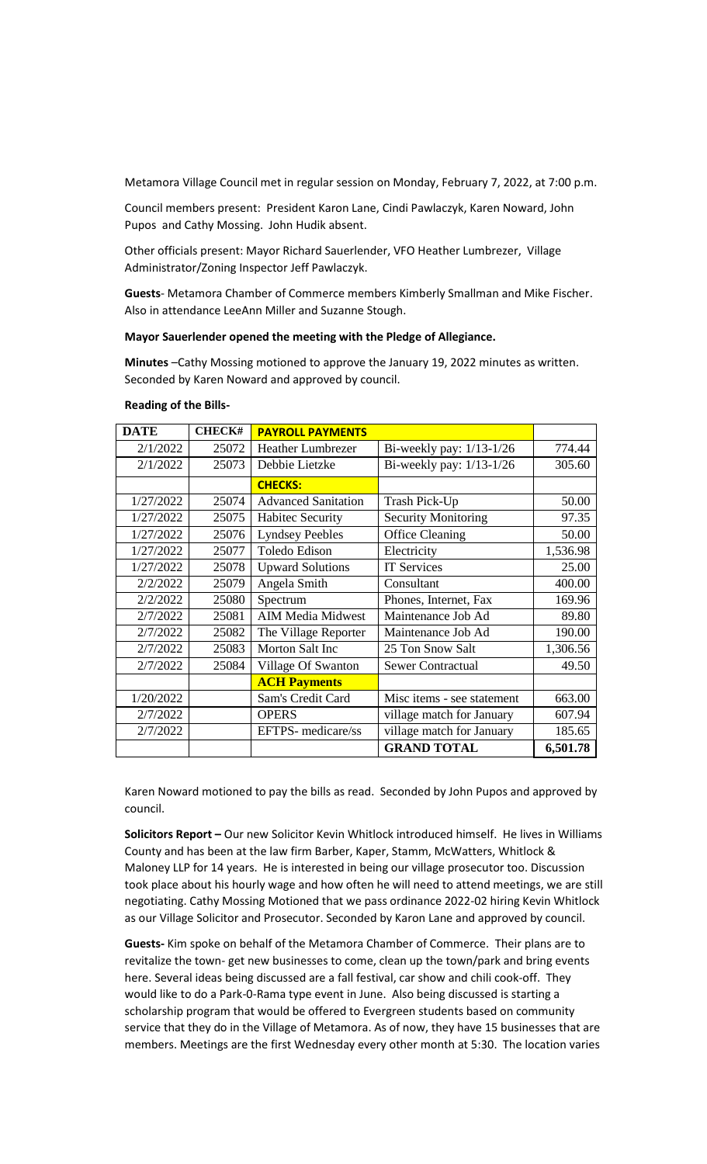Metamora Village Council met in regular session on Monday, February 7, 2022, at 7:00 p.m.

Council members present: President Karon Lane, Cindi Pawlaczyk, Karen Noward, John Pupos and Cathy Mossing. John Hudik absent.

Other officials present: Mayor Richard Sauerlender, VFO Heather Lumbrezer, Village Administrator/Zoning Inspector Jeff Pawlaczyk.

**Guests**- Metamora Chamber of Commerce members Kimberly Smallman and Mike Fischer. Also in attendance LeeAnn Miller and Suzanne Stough.

## **Mayor Sauerlender opened the meeting with the Pledge of Allegiance.**

**Minutes** –Cathy Mossing motioned to approve the January 19, 2022 minutes as written. Seconded by Karen Noward and approved by council.

| <b>DATE</b> | <b>CHECK#</b> | <b>PAYROLL PAYMENTS</b>    |                            |          |
|-------------|---------------|----------------------------|----------------------------|----------|
| 2/1/2022    | 25072         | <b>Heather Lumbrezer</b>   | Bi-weekly pay: $1/13-1/26$ | 774.44   |
| 2/1/2022    | 25073         | Debbie Lietzke             | Bi-weekly pay: $1/13-1/26$ | 305.60   |
|             |               | <b>CHECKS:</b>             |                            |          |
| 1/27/2022   | 25074         | <b>Advanced Sanitation</b> | Trash Pick-Up              | 50.00    |
| 1/27/2022   | 25075         | <b>Habitec Security</b>    | <b>Security Monitoring</b> | 97.35    |
| 1/27/2022   | 25076         | <b>Lyndsey Peebles</b>     | <b>Office Cleaning</b>     | 50.00    |
| 1/27/2022   | 25077         | Toledo Edison              | Electricity                | 1,536.98 |
| 1/27/2022   | 25078         | <b>Upward Solutions</b>    | <b>IT Services</b>         | 25.00    |
| 2/2/2022    | 25079         | Angela Smith               | Consultant                 | 400.00   |
| 2/2/2022    | 25080         | Spectrum                   | Phones, Internet, Fax      | 169.96   |
| 2/7/2022    | 25081         | <b>AIM Media Midwest</b>   | Maintenance Job Ad         | 89.80    |
| 2/7/2022    | 25082         | The Village Reporter       | Maintenance Job Ad         | 190.00   |
| 2/7/2022    | 25083         | Morton Salt Inc            | 25 Ton Snow Salt           | 1,306.56 |
| 2/7/2022    | 25084         | Village Of Swanton         | <b>Sewer Contractual</b>   | 49.50    |
|             |               | <b>ACH Payments</b>        |                            |          |
| 1/20/2022   |               | Sam's Credit Card          | Misc items - see statement | 663.00   |
| 2/7/2022    |               | <b>OPERS</b>               | village match for January  | 607.94   |
| 2/7/2022    |               | EFTPS- medicare/ss         | village match for January  | 185.65   |
|             |               |                            | <b>GRAND TOTAL</b>         | 6,501.78 |

## **Reading of the Bills-**

Karen Noward motioned to pay the bills as read. Seconded by John Pupos and approved by council.

**Solicitors Report –** Our new Solicitor Kevin Whitlock introduced himself. He lives in Williams County and has been at the law firm Barber, Kaper, Stamm, McWatters, Whitlock & Maloney LLP for 14 years. He is interested in being our village prosecutor too. Discussion took place about his hourly wage and how often he will need to attend meetings, we are still negotiating. Cathy Mossing Motioned that we pass ordinance 2022-02 hiring Kevin Whitlock as our Village Solicitor and Prosecutor. Seconded by Karon Lane and approved by council.

**Guests-** Kim spoke on behalf of the Metamora Chamber of Commerce. Their plans are to revitalize the town- get new businesses to come, clean up the town/park and bring events here. Several ideas being discussed are a fall festival, car show and chili cook-off. They would like to do a Park-0-Rama type event in June. Also being discussed is starting a scholarship program that would be offered to Evergreen students based on community service that they do in the Village of Metamora. As of now, they have 15 businesses that are members. Meetings are the first Wednesday every other month at 5:30. The location varies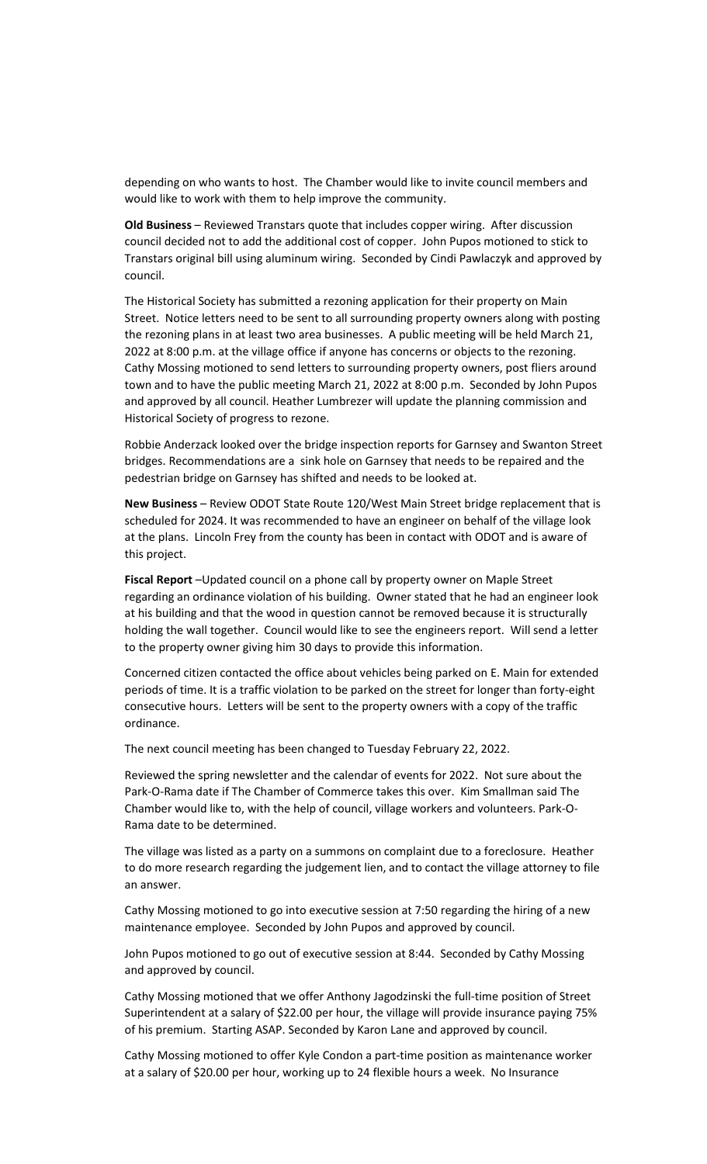depending on who wants to host. The Chamber would like to invite council members and would like to work with them to help improve the community.

**Old Business** – Reviewed Transtars quote that includes copper wiring. After discussion council decided not to add the additional cost of copper. John Pupos motioned to stick to Transtars original bill using aluminum wiring. Seconded by Cindi Pawlaczyk and approved by council.

The Historical Society has submitted a rezoning application for their property on Main Street. Notice letters need to be sent to all surrounding property owners along with posting the rezoning plans in at least two area businesses. A public meeting will be held March 21, 2022 at 8:00 p.m. at the village office if anyone has concerns or objects to the rezoning. Cathy Mossing motioned to send letters to surrounding property owners, post fliers around town and to have the public meeting March 21, 2022 at 8:00 p.m. Seconded by John Pupos and approved by all council. Heather Lumbrezer will update the planning commission and Historical Society of progress to rezone.

Robbie Anderzack looked over the bridge inspection reports for Garnsey and Swanton Street bridges. Recommendations are a sink hole on Garnsey that needs to be repaired and the pedestrian bridge on Garnsey has shifted and needs to be looked at.

**New Business** – Review ODOT State Route 120/West Main Street bridge replacement that is scheduled for 2024. It was recommended to have an engineer on behalf of the village look at the plans. Lincoln Frey from the county has been in contact with ODOT and is aware of this project.

**Fiscal Report** –Updated council on a phone call by property owner on Maple Street regarding an ordinance violation of his building. Owner stated that he had an engineer look at his building and that the wood in question cannot be removed because it is structurally holding the wall together. Council would like to see the engineers report. Will send a letter to the property owner giving him 30 days to provide this information.

Concerned citizen contacted the office about vehicles being parked on E. Main for extended periods of time. It is a traffic violation to be parked on the street for longer than forty-eight consecutive hours. Letters will be sent to the property owners with a copy of the traffic ordinance.

The next council meeting has been changed to Tuesday February 22, 2022.

Reviewed the spring newsletter and the calendar of events for 2022. Not sure about the Park-O-Rama date if The Chamber of Commerce takes this over. Kim Smallman said The Chamber would like to, with the help of council, village workers and volunteers. Park-O-Rama date to be determined.

The village was listed as a party on a summons on complaint due to a foreclosure. Heather to do more research regarding the judgement lien, and to contact the village attorney to file an answer.

Cathy Mossing motioned to go into executive session at 7:50 regarding the hiring of a new maintenance employee. Seconded by John Pupos and approved by council.

John Pupos motioned to go out of executive session at 8:44. Seconded by Cathy Mossing and approved by council.

Cathy Mossing motioned that we offer Anthony Jagodzinski the full-time position of Street Superintendent at a salary of \$22.00 per hour, the village will provide insurance paying 75% of his premium. Starting ASAP. Seconded by Karon Lane and approved by council.

Cathy Mossing motioned to offer Kyle Condon a part-time position as maintenance worker at a salary of \$20.00 per hour, working up to 24 flexible hours a week. No Insurance